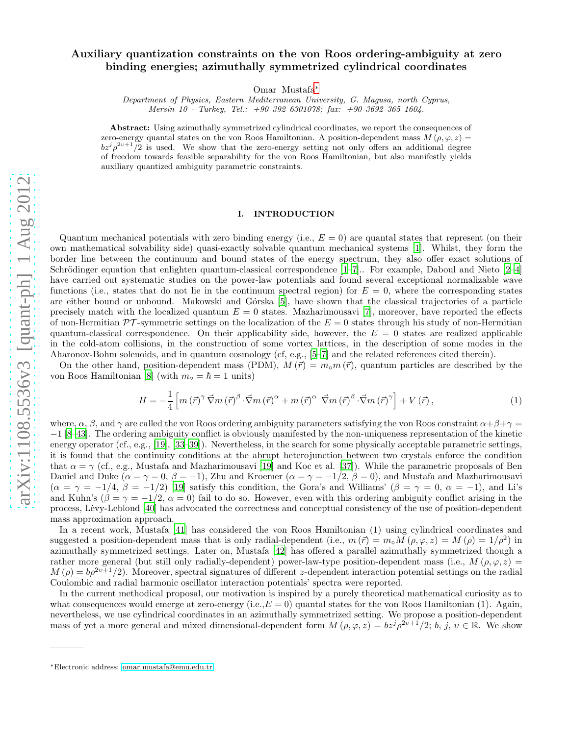## Auxiliary quantization constraints on the von Roos ordering-ambiguity at zero binding energies; azimuthally symmetrized cylindrical coordinates

Omar Mustafa[∗](#page-0-0)

*Department of Physics, Eastern Mediterranean University, G. Magusa, north Cyprus, Mersin 10 - Turkey, Tel.: +90 392 6301078; fax: +90 3692 365 1604.*

Abstract: Using azimuthally symmetrized cylindrical coordinates, we report the consequences of zero-energy quantal states on the von Roos Hamiltonian. A position-dependent mass  $M(\rho, \varphi, z) =$  $bz^j\rho^{2v+1/2}$  is used. We show that the zero-energy setting not only offers an additional degree of freedom towards feasible separability for the von Roos Hamiltonian, but also manifestly yields auxiliary quantized ambiguity parametric constraints.

#### I. INTRODUCTION

Quantum mechanical potentials with zero binding energy (i.e.,  $E = 0$ ) are quantal states that represent (on their own mathematical solvability side) quasi-exactly solvable quantum mechanical systems [\[1\]](#page-6-0). Whilst, they form the border line between the continuum and bound states of the energy spectrum, they also offer exact solutions of Schrödinger equation that enlighten quantum-classical correspondence  $[1-7]$ . For example, Daboul and Nieto  $[2-4]$ have carried out systematic studies on the power-law potentials and found several exceptional normalizable wave functions (i.e., states that do not lie in the continuum spectral region) for  $E = 0$ , where the corresponding states are either bound or unbound. Makowski and Górska [\[5\]](#page-6-4), have shown that the classical trajectories of a particle precisely match with the localized quantum  $E = 0$  states. Mazharimousavi [\[7\]](#page-6-1), moreover, have reported the effects of non-Hermitian  $\mathcal{PT}$ -symmetric settings on the localization of the  $E = 0$  states through his study of non-Hermitian quantum-classical correspondence. On their applicability side, however, the  $E = 0$  states are realized applicable in the cold-atom collisions, in the construction of some vortex lattices, in the description of some modes in the Aharonov-Bohm solenoids, and in quantum cosmology (cf, e.g., [\[5](#page-6-4)[–7\]](#page-6-1) and the related references cited therein).

On the other hand, position-dependent mass (PDM),  $M(\vec{r}) = m_o m(\vec{r})$ , quantum particles are described by the von Roos Hamiltonian [\[8\]](#page-6-5) (with  $m_{\circ} = \hbar = 1$  units)

$$
H = -\frac{1}{4} \left[ m \left( \vec{r} \right)^{\gamma} \vec{\nabla} m \left( \vec{r} \right)^{\beta} \cdot \vec{\nabla} m \left( \vec{r} \right)^{\alpha} + m \left( \vec{r} \right)^{\alpha} \vec{\nabla} m \left( \vec{r} \right)^{\beta} \cdot \vec{\nabla} m \left( \vec{r} \right)^{\gamma} \right] + V \left( \vec{r} \right), \tag{1}
$$

where,  $\alpha$ ,  $\beta$ , and  $\gamma$  are called the von Roos ordering ambiguity parameters satisfying the von Roos constraint  $\alpha+\beta+\gamma$ −1 [\[8](#page-6-5)[–43](#page-6-6)]. The ordering ambiguity conflict is obviously manifested by the non-uniqueness representation of the kinetic energy operator (cf., e.g., [\[19\]](#page-6-7), [\[33](#page-6-8)[–39\]](#page-6-9)). Nevertheless, in the search for some physically acceptable parametric settings, it is found that the continuity conditions at the abrupt heterojunction between two crystals enforce the condition that  $\alpha = \gamma$  (cf., e.g., Mustafa and Mazharimousavi [\[19](#page-6-7)] and Koc et al. [\[37](#page-6-10)]). While the parametric proposals of Ben Daniel and Duke ( $\alpha = \gamma = 0$ ,  $\beta = -1$ ), Zhu and Kroemer ( $\alpha = \gamma = -1/2$ ,  $\beta = 0$ ), and Mustafa and Mazharimousavi  $(\alpha = \gamma = -1/4, \beta = -1/2)$  [\[19\]](#page-6-7) satisfy this condition, the Gora's and Williams'  $(\beta = \gamma = 0, \alpha = -1)$ , and Li's and Kuhn's ( $\beta = \gamma = -1/2$ ,  $\alpha = 0$ ) fail to do so. However, even with this ordering ambiguity conflict arising in the process, Lėvy-Leblond [\[40](#page-6-11)] has advocated the correctness and conceptual consistency of the use of position-dependent mass approximation approach.

In a recent work, Mustafa [\[41](#page-6-12)] has considered the von Roos Hamiltonian (1) using cylindrical coordinates and suggested a position-dependent mass that is only radial-dependent (i.e.,  $m(\vec{r}) = m_o M(\rho, \varphi, z) = M(\rho) = 1/\rho^2$ ) in azimuthally symmetrized settings. Later on, Mustafa [\[42](#page-6-13)] has offered a parallel azimuthally symmetrized though a rather more general (but still only radially-dependent) power-law-type position-dependent mass (i.e.,  $M(\rho, \varphi, z)$  =  $M(\rho) = b\rho^{2\nu+1}/2$ . Moreover, spectral signatures of different z-dependent interaction potential settings on the radial Coulombic and radial harmonic oscillator interaction potentials' spectra were reported.

In the current methodical proposal, our motivation is inspired by a purely theoretical mathematical curiosity as to what consequences would emerge at zero-energy (i.e.,  $E = 0$ ) quantal states for the von Roos Hamiltonian (1). Again, nevertheless, we use cylindrical coordinates in an azimuthally symmetrized setting. We propose a position-dependent mass of yet a more general and mixed dimensional-dependent form  $M(\rho,\varphi,z) = bz^j\rho^{2\nu+1}/2$ ;  $b, j, v \in \mathbb{R}$ . We show

<span id="page-0-0"></span><sup>∗</sup>Electronic address: [omar.mustafa@emu.edu.tr](mailto:omar.mustafa@emu.edu.tr)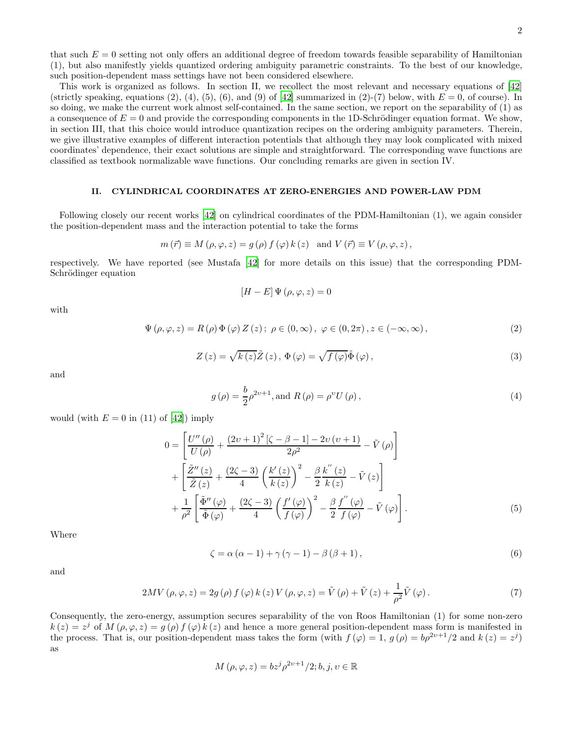that such  $E = 0$  setting not only offers an additional degree of freedom towards feasible separability of Hamiltonian (1), but also manifestly yields quantized ordering ambiguity parametric constraints. To the best of our knowledge, such position-dependent mass settings have not been considered elsewhere.

This work is organized as follows. In section II, we recollect the most relevant and necessary equations of [\[42](#page-6-13)] (strictly speaking, equations (2), (4), (5), (6), and (9) of [\[42\]](#page-6-13) summarized in (2)-(7) below, with  $E = 0$ , of course). In so doing, we make the current work almost self-contained. In the same section, we report on the separability of (1) as a consequence of  $E = 0$  and provide the corresponding components in the 1D-Schrödinger equation format. We show, in section III, that this choice would introduce quantization recipes on the ordering ambiguity parameters. Therein, we give illustrative examples of different interaction potentials that although they may look complicated with mixed coordinates' dependence, their exact solutions are simple and straightforward. The corresponding wave functions are classified as textbook normalizable wave functions. Our concluding remarks are given in section IV.

### II. CYLINDRICAL COORDINATES AT ZERO-ENERGIES AND POWER-LAW PDM

Following closely our recent works [\[42](#page-6-13)] on cylindrical coordinates of the PDM-Hamiltonian (1), we again consider the position-dependent mass and the interaction potential to take the forms

$$
m(\vec{r}) \equiv M(\rho, \varphi, z) = g(\rho) f(\varphi) k(z)
$$
 and  $V(\vec{r}) \equiv V(\rho, \varphi, z)$ ,

respectively. We have reported (see Mustafa [\[42\]](#page-6-13) for more details on this issue) that the corresponding PDM-Schrödinger equation

$$
[H-E]\,\Psi\,(\rho,\varphi,z)=0
$$

with

$$
\Psi\left(\rho,\varphi,z\right) = R\left(\rho\right)\Phi\left(\varphi\right)Z\left(z\right); \ \rho \in (0,\infty), \ \varphi \in (0,2\pi), z \in (-\infty,\infty),\tag{2}
$$

$$
Z(z) = \sqrt{k(z)}\tilde{Z}(z), \Phi(\varphi) = \sqrt{f(\varphi)}\tilde{\Phi}(\varphi), \qquad (3)
$$

and

$$
g(\rho) = \frac{b}{2}\rho^{2v+1}, \text{and } R(\rho) = \rho^v U(\rho), \qquad (4)
$$

would (with  $E = 0$  in (11) of [\[42\]](#page-6-13)) imply

$$
0 = \left[ \frac{U''(\rho)}{U(\rho)} + \frac{(2v+1)^2 \left[\zeta - \beta - 1\right] - 2v(v+1)}{2\rho^2} - \tilde{V}(\rho) \right] + \left[ \frac{\tilde{Z}''(z)}{\tilde{Z}(z)} + \frac{(2\zeta - 3)}{4} \left(\frac{k'(z)}{k(z)}\right)^2 - \frac{\beta}{2} \frac{k''(z)}{k(z)} - \tilde{V}(z) \right] + \frac{1}{\rho^2} \left[ \frac{\tilde{\Phi}''(\varphi)}{\tilde{\Phi}(\varphi)} + \frac{(2\zeta - 3)}{4} \left(\frac{f'(\varphi)}{f(\varphi)}\right)^2 - \frac{\beta}{2} \frac{f''(\varphi)}{f(\varphi)} - \tilde{V}(\varphi) \right].
$$
 (5)

Where

$$
\zeta = \alpha \left( \alpha - 1 \right) + \gamma \left( \gamma - 1 \right) - \beta \left( \beta + 1 \right),\tag{6}
$$

and

$$
2MV(\rho, \varphi, z) = 2g(\rho) f(\varphi) k(z) V(\rho, \varphi, z) = \tilde{V}(\rho) + \tilde{V}(z) + \frac{1}{\rho^2} \tilde{V}(\varphi).
$$
\n(7)

Consequently, the zero-energy, assumption secures separability of the von Roos Hamiltonian (1) for some non-zero  $k(z) = z^{j}$  of  $M(\rho, \varphi, z) = g(\rho) f(\varphi) k(z)$  and hence a more general position-dependent mass form is manifested in the process. That is, our position-dependent mass takes the form (with  $f(\varphi) = 1$ ,  $g(\rho) = b\rho^{2\nu+1}/2$  and  $k(z) = z^j$ ) as

$$
M(\rho, \varphi, z) = bz^j \rho^{2v+1}/2; b, j, v \in \mathbb{R}
$$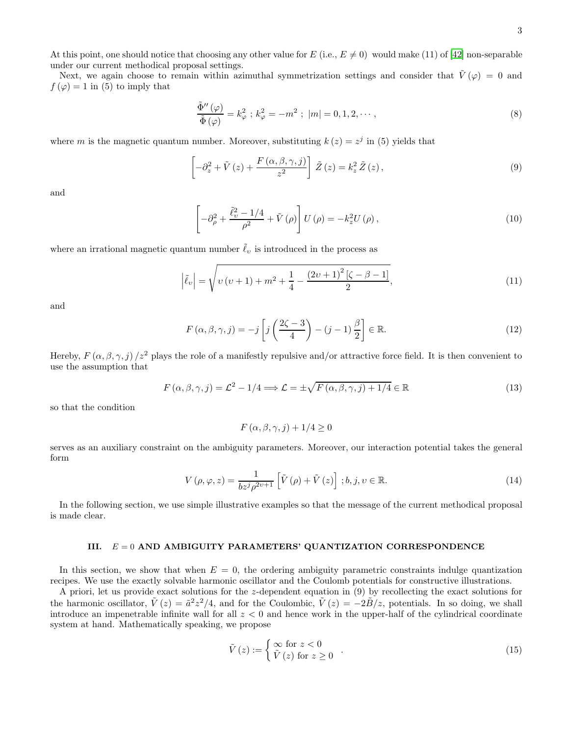At this point, one should notice that choosing any other value for  $E$  (i.e.,  $E \neq 0$ ) would make (11) of [\[42](#page-6-13)] non-separable under our current methodical proposal settings.

Next, we again choose to remain within azimuthal symmetrization settings and consider that  $\tilde{V}(\varphi) = 0$  and  $f(\varphi) = 1$  in (5) to imply that

$$
\frac{\tilde{\Phi}''(\varphi)}{\tilde{\Phi}(\varphi)} = k_{\varphi}^{2} \; ; \; k_{\varphi}^{2} = -m^{2} \; ; \; |m| = 0, 1, 2, \cdots,
$$
\n(8)

where m is the magnetic quantum number. Moreover, substituting  $k(z) = z<sup>j</sup>$  in (5) yields that

$$
\left[-\partial_z^2 + \tilde{V}(z) + \frac{F(\alpha, \beta, \gamma, j)}{z^2}\right] \tilde{Z}(z) = k_z^2 \tilde{Z}(z),\tag{9}
$$

and

$$
\left[-\partial_{\rho}^{2} + \frac{\tilde{\ell}_{v}^{2} - 1/4}{\rho^{2}} + \tilde{V}(\rho)\right]U(\rho) = -k_{z}^{2}U(\rho),\qquad(10)
$$

where an irrational magnetic quantum number  $\tilde{\ell}_v$  is introduced in the process as

$$
\left|\tilde{\ell}_{v}\right| = \sqrt{v\left(v+1\right) + m^2 + \frac{1}{4} - \frac{\left(2v+1\right)^2 \left[\zeta - \beta - 1\right]}{2}},\tag{11}
$$

and

$$
F(\alpha, \beta, \gamma, j) = -j \left[ j \left( \frac{2\zeta - 3}{4} \right) - (j - 1) \frac{\beta}{2} \right] \in \mathbb{R}.
$$
 (12)

Hereby,  $F(\alpha, \beta, \gamma, j)/z^2$  plays the role of a manifestly repulsive and/or attractive force field. It is then convenient to use the assumption that

$$
F(\alpha, \beta, \gamma, j) = \mathcal{L}^2 - 1/4 \Longrightarrow \mathcal{L} = \pm \sqrt{F(\alpha, \beta, \gamma, j) + 1/4} \in \mathbb{R}
$$
\n(13)

so that the condition

$$
F(\alpha, \beta, \gamma, j) + 1/4 \ge 0
$$

serves as an auxiliary constraint on the ambiguity parameters. Moreover, our interaction potential takes the general form

$$
V(\rho,\varphi,z) = \frac{1}{bz^j \rho^{2\nu+1}} \left[ \tilde{V}(\rho) + \tilde{V}(z) \right]; b, j, \upsilon \in \mathbb{R}.
$$
 (14)

In the following section, we use simple illustrative examples so that the message of the current methodical proposal is made clear.

#### III.  $E = 0$  AND AMBIGUITY PARAMETERS' QUANTIZATION CORRESPONDENCE

In this section, we show that when  $E = 0$ , the ordering ambiguity parametric constraints indulge quantization recipes. We use the exactly solvable harmonic oscillator and the Coulomb potentials for constructive illustrations.

A priori, let us provide exact solutions for the z-dependent equation in (9) by recollecting the exact solutions for the harmonic oscillator,  $\tilde{V}(z) = \tilde{a}^2 z^2/4$ , and for the Coulombic,  $\tilde{V}(z) = -2\tilde{B}/z$ , potentials. In so doing, we shall introduce an impenetrable infinite wall for all  $z < 0$  and hence work in the upper-half of the cylindrical coordinate system at hand. Mathematically speaking, we propose

$$
\tilde{V}(z) := \begin{cases}\n\infty \text{ for } z < 0 \\
\tilde{V}(z) \text{ for } z \ge 0\n\end{cases} \tag{15}
$$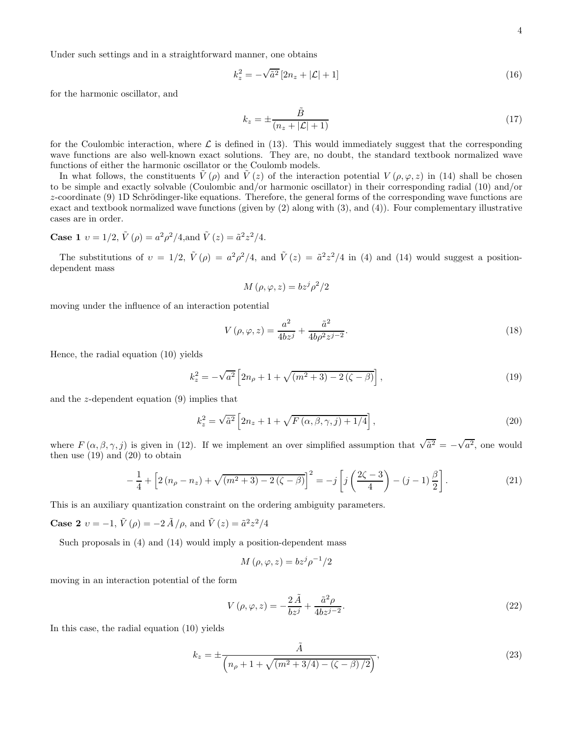Under such settings and in a straightforward manner, one obtains

$$
k_z^2 = -\sqrt{\tilde{a}^2} \left[ 2n_z + |\mathcal{L}| + 1 \right] \tag{16}
$$

for the harmonic oscillator, and

$$
k_z = \pm \frac{\tilde{B}}{(n_z + |\mathcal{L}| + 1)}\tag{17}
$$

for the Coulombic interaction, where  $\mathcal L$  is defined in (13). This would immediately suggest that the corresponding wave functions are also well-known exact solutions. They are, no doubt, the standard textbook normalized wave functions of either the harmonic oscillator or the Coulomb models.

In what follows, the constituents  $\hat{V}(\rho)$  and  $\hat{V}(z)$  of the interaction potential  $V(\rho,\varphi,z)$  in (14) shall be chosen to be simple and exactly solvable (Coulombic and/or harmonic oscillator) in their corresponding radial (10) and/or  $z$ -coordinate (9) 1D Schrödinger-like equations. Therefore, the general forms of the corresponding wave functions are exact and textbook normalized wave functions (given by (2) along with (3), and (4)). Four complementary illustrative cases are in order.

# **Case 1**  $v = 1/2$ ,  $\tilde{V}(\rho) = a^2 \rho^2 / 4$ , and  $\tilde{V}(z) = \tilde{a}^2 z^2 / 4$ .

The substitutions of  $v = 1/2$ ,  $\tilde{V}(\rho) = a^2 \rho^2/4$ , and  $\tilde{V}(z) = \tilde{a}^2 z^2/4$  in (4) and (14) would suggest a positiondependent mass

$$
M(\rho, \varphi, z) = bz^j\rho^2/2
$$

moving under the influence of an interaction potential

$$
V(\rho, \varphi, z) = \frac{a^2}{4bz^j} + \frac{\tilde{a}^2}{4b\rho^2 z^{j-2}}.
$$
\n(18)

Hence, the radial equation (10) yields

$$
k_z^2 = -\sqrt{a^2} \left[ 2n_\rho + 1 + \sqrt{(m^2 + 3) - 2(\zeta - \beta)} \right],\tag{19}
$$

and the  $z$ -dependent equation  $(9)$  implies that

$$
k_z^2 = \sqrt{\tilde{a}^2} \left[ 2n_z + 1 + \sqrt{F(\alpha, \beta, \gamma, j) + 1/4} \right],\tag{20}
$$

where  $F(\alpha, \beta, \gamma, j)$  is given in (12). If we implement an over simplified assumption that  $\sqrt{\tilde{a}^2} = -\sqrt{a^2}$ , one would then use  $(19)$  and  $(20)$  to obtain

$$
-\frac{1}{4} + \left[2\left(n_{\rho} - n_{z}\right) + \sqrt{(m^{2} + 3) - 2\left(\zeta - \beta\right)}\right]^{2} = -j\left[j\left(\frac{2\zeta - 3}{4}\right) - (j - 1)\frac{\beta}{2}\right].
$$
\n(21)

This is an auxiliary quantization constraint on the ordering ambiguity parameters.

**Case 2**  $v = -1$ ,  $\tilde{V}(\rho) = -2 \tilde{A}/\rho$ , and  $\tilde{V}(z) = \tilde{a}^2 z^2/4$ 

Such proposals in (4) and (14) would imply a position-dependent mass

$$
M(\rho, \varphi, z) = bz^j \rho^{-1}/2
$$

moving in an interaction potential of the form

$$
V(\rho, \varphi, z) = -\frac{2\tilde{A}}{bz^j} + \frac{\tilde{a}^2 \rho}{4bz^{j-2}}.
$$
\n(22)

In this case, the radial equation (10) yields

$$
k_z = \pm \frac{\tilde{A}}{\left(n_\rho + 1 + \sqrt{(m^2 + 3/4) - (\zeta - \beta)/2}\right)},\tag{23}
$$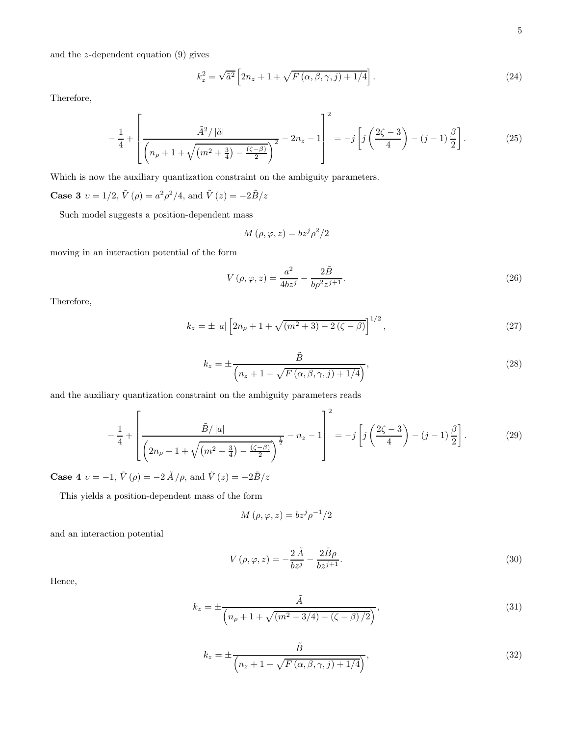5

and the  $z$ -dependent equation  $(9)$  gives

$$
k_z^2 = \sqrt{\tilde{a}^2} \left[ 2n_z + 1 + \sqrt{F(\alpha, \beta, \gamma, j) + 1/4} \right].
$$
 (24)

Therefore,

$$
-\frac{1}{4} + \left[ \frac{\tilde{A}^2/|\tilde{a}|}{\left(n_\rho + 1 + \sqrt{(m^2 + \frac{3}{4}) - \frac{(\zeta - \beta)}{2}}\right)^2} - 2n_z - 1 \right]^2 = -j \left[ j \left( \frac{2\zeta - 3}{4} \right) - (j - 1) \frac{\beta}{2} \right].
$$
 (25)

Which is now the auxiliary quantization constraint on the ambiguity parameters.

**Case 3**  $v = 1/2$ ,  $\tilde{V}(\rho) = a^2 \rho^2/4$ , and  $\tilde{V}(z) = -2\tilde{B}/z$ 

Such model suggests a position-dependent mass

$$
M\left(\rho,\varphi,z\right) = bz^j\rho^2/2
$$

moving in an interaction potential of the form

$$
V\left(\rho,\varphi,z\right) = \frac{a^2}{4bz^j} - \frac{2\tilde{B}}{b\rho^2 z^{j+1}}.\tag{26}
$$

Therefore,

$$
k_z = \pm |a| \left[ 2n_\rho + 1 + \sqrt{(m^2 + 3) - 2(\zeta - \beta)} \right]^{1/2},\tag{27}
$$

$$
k_z = \pm \frac{\tilde{B}}{\left(n_z + 1 + \sqrt{F\left(\alpha, \beta, \gamma, j\right) + 1/4}\right)},\tag{28}
$$

and the auxiliary quantization constraint on the ambiguity parameters reads

$$
-\frac{1}{4} + \left[\frac{\tilde{B}/|a|}{\left(2n_{\rho} + 1 + \sqrt{(m^2 + \frac{3}{4}) - \frac{(\zeta - \beta)}{2}}\right)^{\frac{1}{2}}} - n_z - 1\right]^2 = -j\left[j\left(\frac{2\zeta - 3}{4}\right) - (j - 1)\frac{\beta}{2}\right].
$$
 (29)

**Case 4**  $v = -1$ ,  $\tilde{V}(\rho) = -2 \tilde{A}/\rho$ , and  $\tilde{V}(z) = -2\tilde{B}/z$ 

This yields a position-dependent mass of the form

$$
M(\rho, \varphi, z) = bz^j \rho^{-1}/2
$$

and an interaction potential

$$
V(\rho, \varphi, z) = -\frac{2\tilde{A}}{bz^j} - \frac{2\tilde{B}\rho}{bz^{j+1}}.
$$
\n(30)

Hence,

$$
k_z = \pm \frac{\tilde{A}}{\left(n_\rho + 1 + \sqrt{(m^2 + 3/4) - (\zeta - \beta)/2}\right)},\tag{31}
$$

$$
k_z = \pm \frac{\tilde{B}}{\left(n_z + 1 + \sqrt{F\left(\alpha, \beta, \gamma, j\right) + 1/4}\right)},\tag{32}
$$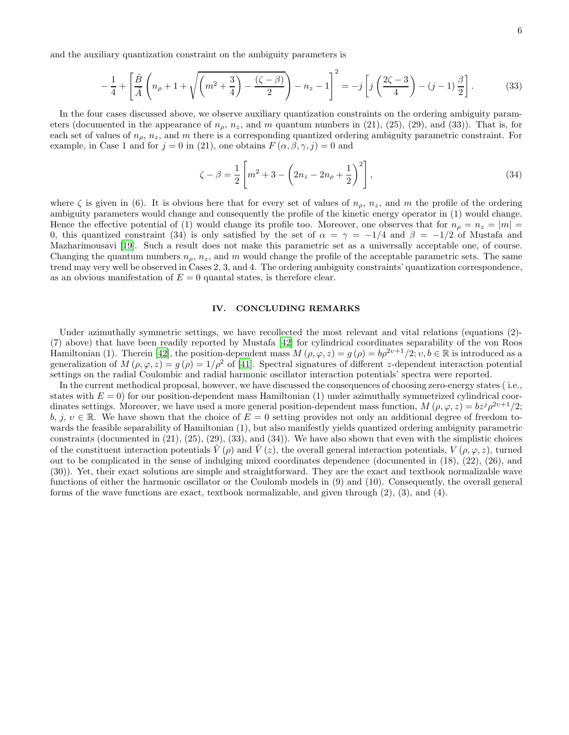and the auxiliary quantization constraint on the ambiguity parameters is

$$
-\frac{1}{4} + \left[\frac{\tilde{B}}{\tilde{A}}\left(n_{\rho} + 1 + \sqrt{\left(m^2 + \frac{3}{4}\right) - \frac{(\zeta - \beta)}{2}}\right) - n_z - 1\right]^2 = -j\left[j\left(\frac{2\zeta - 3}{4}\right) - (j - 1)\frac{\beta}{2}\right].
$$
 (33)

In the four cases discussed above, we observe auxiliary quantization constraints on the ordering ambiguity parameters (documented in the appearance of  $n_{\rho}$ ,  $n_{z}$ , and m quantum numbers in (21), (25), (29), and (33)). That is, for each set of values of  $n_p$ ,  $n_z$ , and m there is a corresponding quantized ordering ambiguity parametric constraint. For example, in Case 1 and for  $j = 0$  in (21), one obtains  $F(\alpha, \beta, \gamma, j) = 0$  and

$$
\zeta - \beta = \frac{1}{2} \left[ m^2 + 3 - \left( 2n_z - 2n_\rho + \frac{1}{2} \right)^2 \right],\tag{34}
$$

where  $\zeta$  is given in (6). It is obvious here that for every set of values of  $n_{\rho}$ ,  $n_{z}$ , and m the profile of the ordering ambiguity parameters would change and consequently the profile of the kinetic energy operator in (1) would change. Hence the effective potential of (1) would change its profile too. Moreover, one observes that for  $n_{\rho} = n_{z} = |m|$ 0, this quantized constraint (34) is only satisfied by the set of  $\alpha = \gamma = -1/4$  and  $\beta = -1/2$  of Mustafa and Mazharimousavi [\[19](#page-6-7)]. Such a result does not make this parametric set as a universally acceptable one, of course. Changing the quantum numbers  $n_{\rho}$ ,  $n_{z}$ , and m would change the profile of the acceptable parametric sets. The same trend may very well be observed in Cases 2, 3, and 4. The ordering ambiguity constraints' quantization correspondence, as an obvious manifestation of  $E = 0$  quantal states, is therefore clear.

#### IV. CONCLUDING REMARKS

Under azimuthally symmetric settings, we have recollected the most relevant and vital relations (equations (2)- (7) above) that have been readily reported by Mustafa [\[42\]](#page-6-13) for cylindrical coordinates separability of the von Roos Hamiltonian (1). Therein [\[42\]](#page-6-13), the position-dependent mass  $M(\rho, \varphi, z) = g(\rho) = b\rho^{2v+1}/2; v, b \in \mathbb{R}$  is introduced as a generalization of  $M(\rho, \varphi, z) = g(\rho) = 1/\rho^2$  of [\[41](#page-6-12)]. Spectral signatures of different z-dependent interaction potential settings on the radial Coulombic and radial harmonic oscillator interaction potentials' spectra were reported.

In the current methodical proposal, however, we have discussed the consequences of choosing zero-energy states ( i.e., states with  $E = 0$ ) for our position-dependent mass Hamiltonian (1) under azimuthally symmetrized cylindrical coordinates settings. Moreover, we have used a more general position-dependent mass function,  $M(\rho, \varphi, z) = bz^j\rho^{2\nu+1}/2;$  $b, j, v \in \mathbb{R}$ . We have shown that the choice of  $E = 0$  setting provides not only an additional degree of freedom towards the feasible separability of Hamiltonian (1), but also manifestly yields quantized ordering ambiguity parametric constraints (documented in (21), (25), (29), (33), and (34)). We have also shown that even with the simplistic choices of the constituent interaction potentials  $\tilde{V}(\rho)$  and  $\tilde{V}(z)$ , the overall general interaction potentials,  $V(\rho,\varphi,z)$ , turned out to be complicated in the sense of indulging mixed coordinates dependence (documented in (18), (22), (26), and (30)). Yet, their exact solutions are simple and straightforward. They are the exact and textbook normalizable wave functions of either the harmonic oscillator or the Coulomb models in (9) and (10). Consequently, the overall general forms of the wave functions are exact, textbook normalizable, and given through (2), (3), and (4).